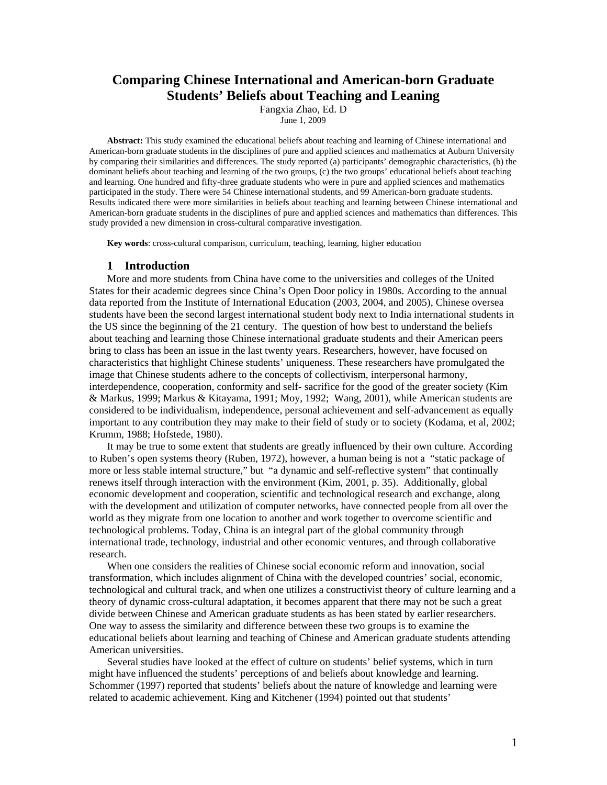# **Comparing Chinese International and American-born Graduate Students' Beliefs about Teaching and Leaning**

Fangxia Zhao, Ed. D

June 1, 2009

**Abstract:** This study examined the educational beliefs about teaching and learning of Chinese international and American-born graduate students in the disciplines of pure and applied sciences and mathematics at Auburn University by comparing their similarities and differences. The study reported (a) participants' demographic characteristics, (b) the dominant beliefs about teaching and learning of the two groups, (c) the two groups' educational beliefs about teaching and learning. One hundred and fifty-three graduate students who were in pure and applied sciences and mathematics participated in the study. There were 54 Chinese international students, and 99 American-born graduate students. Results indicated there were more similarities in beliefs about teaching and learning between Chinese international and American-born graduate students in the disciplines of pure and applied sciences and mathematics than differences. This study provided a new dimension in cross-cultural comparative investigation.

**Key words**: cross-cultural comparison, curriculum, teaching, learning, higher education

### **1 Introduction**

More and more students from China have come to the universities and colleges of the United States for their academic degrees since China's Open Door policy in 1980s. According to the annual data reported from the Institute of International Education (2003, 2004, and 2005), Chinese oversea students have been the second largest international student body next to India international students in the US since the beginning of the 21 century. The question of how best to understand the beliefs about teaching and learning those Chinese international graduate students and their American peers bring to class has been an issue in the last twenty years. Researchers, however, have focused on characteristics that highlight Chinese students' uniqueness. These researchers have promulgated the image that Chinese students adhere to the concepts of collectivism, interpersonal harmony, interdependence, cooperation, conformity and self- sacrifice for the good of the greater society (Kim & Markus, 1999; Markus & Kitayama, 1991; Moy, 1992; Wang, 2001), while American students are considered to be individualism, independence, personal achievement and self-advancement as equally important to any contribution they may make to their field of study or to society (Kodama, et al, 2002; Krumm, 1988; Hofstede, 1980).

It may be true to some extent that students are greatly influenced by their own culture. According to Ruben's open systems theory (Ruben, 1972), however, a human being is not a "static package of more or less stable internal structure," but "a dynamic and self-reflective system" that continually renews itself through interaction with the environment (Kim, 2001, p. 35). Additionally, global economic development and cooperation, scientific and technological research and exchange, along with the development and utilization of computer networks, have connected people from all over the world as they migrate from one location to another and work together to overcome scientific and technological problems. Today, China is an integral part of the global community through international trade, technology, industrial and other economic ventures, and through collaborative research.

When one considers the realities of Chinese social economic reform and innovation, social transformation, which includes alignment of China with the developed countries' social, economic, technological and cultural track, and when one utilizes a constructivist theory of culture learning and a theory of dynamic cross-cultural adaptation, it becomes apparent that there may not be such a great divide between Chinese and American graduate students as has been stated by earlier researchers. One way to assess the similarity and difference between these two groups is to examine the educational beliefs about learning and teaching of Chinese and American graduate students attending American universities.

Several studies have looked at the effect of culture on students' belief systems, which in turn might have influenced the students' perceptions of and beliefs about knowledge and learning. Schommer (1997) reported that students' beliefs about the nature of knowledge and learning were related to academic achievement. King and Kitchener (1994) pointed out that students'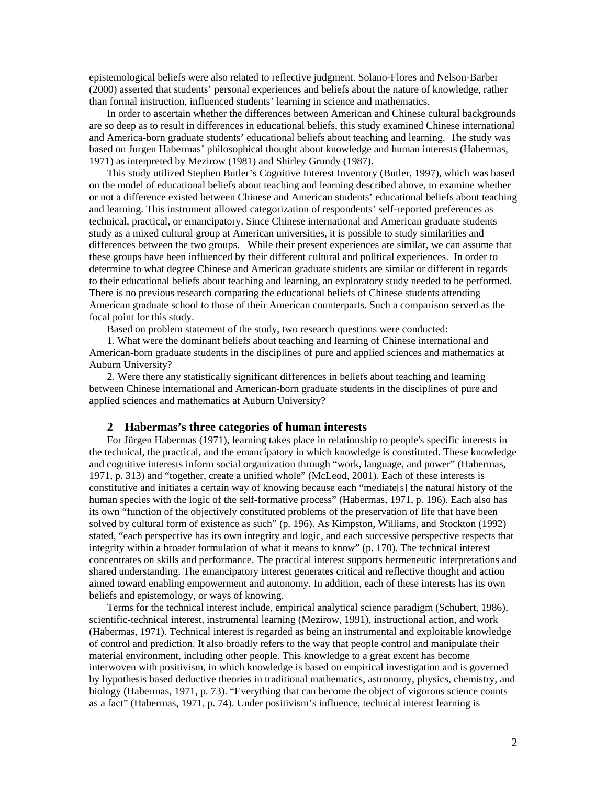epistemological beliefs were also related to reflective judgment. Solano-Flores and Nelson-Barber (2000) asserted that students' personal experiences and beliefs about the nature of knowledge, rather than formal instruction, influenced students' learning in science and mathematics.

In order to ascertain whether the differences between American and Chinese cultural backgrounds are so deep as to result in differences in educational beliefs, this study examined Chinese international and America-born graduate students' educational beliefs about teaching and learning. The study was based on Jurgen Habermas' philosophical thought about knowledge and human interests (Habermas, 1971) as interpreted by Mezirow (1981) and Shirley Grundy (1987).

This study utilized Stephen Butler's Cognitive Interest Inventory (Butler, 1997), which was based on the model of educational beliefs about teaching and learning described above, to examine whether or not a difference existed between Chinese and American students' educational beliefs about teaching and learning. This instrument allowed categorization of respondents' self-reported preferences as technical, practical, or emancipatory. Since Chinese international and American graduate students study as a mixed cultural group at American universities, it is possible to study similarities and differences between the two groups. While their present experiences are similar, we can assume that these groups have been influenced by their different cultural and political experiences. In order to determine to what degree Chinese and American graduate students are similar or different in regards to their educational beliefs about teaching and learning, an exploratory study needed to be performed. There is no previous research comparing the educational beliefs of Chinese students attending American graduate school to those of their American counterparts. Such a comparison served as the focal point for this study.

Based on problem statement of the study, two research questions were conducted:

1. What were the dominant beliefs about teaching and learning of Chinese international and American-born graduate students in the disciplines of pure and applied sciences and mathematics at Auburn University?

2. Were there any statistically significant differences in beliefs about teaching and learning between Chinese international and American-born graduate students in the disciplines of pure and applied sciences and mathematics at Auburn University?

#### **2 Habermas's three categories of human interests**

For Jürgen Habermas (1971), learning takes place in relationship to people's specific interests in the technical, the practical, and the emancipatory in which knowledge is constituted. These knowledge and cognitive interests inform social organization through "work, language, and power" (Habermas, 1971, p. 313) and "together, create a unified whole" (McLeod, 2001). Each of these interests is constitutive and initiates a certain way of knowing because each "mediate[s] the natural history of the human species with the logic of the self-formative process" (Habermas, 1971, p. 196). Each also has its own "function of the objectively constituted problems of the preservation of life that have been solved by cultural form of existence as such" (p. 196). As Kimpston, Williams, and Stockton (1992) stated, "each perspective has its own integrity and logic, and each successive perspective respects that integrity within a broader formulation of what it means to know" (p. 170). The technical interest concentrates on skills and performance. The practical interest supports hermeneutic interpretations and shared understanding. The emancipatory interest generates critical and reflective thought and action aimed toward enabling empowerment and autonomy. In addition, each of these interests has its own beliefs and epistemology, or ways of knowing.

Terms for the technical interest include, empirical analytical science paradigm (Schubert, 1986), scientific-technical interest, instrumental learning (Mezirow, 1991), instructional action, and work (Habermas, 1971). Technical interest is regarded as being an instrumental and exploitable knowledge of control and prediction. It also broadly refers to the way that people control and manipulate their material environment, including other people. This knowledge to a great extent has become interwoven with positivism, in which knowledge is based on empirical investigation and is governed by hypothesis based deductive theories in traditional mathematics, astronomy, physics, chemistry, and biology (Habermas, 1971, p. 73). "Everything that can become the object of vigorous science counts as a fact" (Habermas, 1971, p. 74). Under positivism's influence, technical interest learning is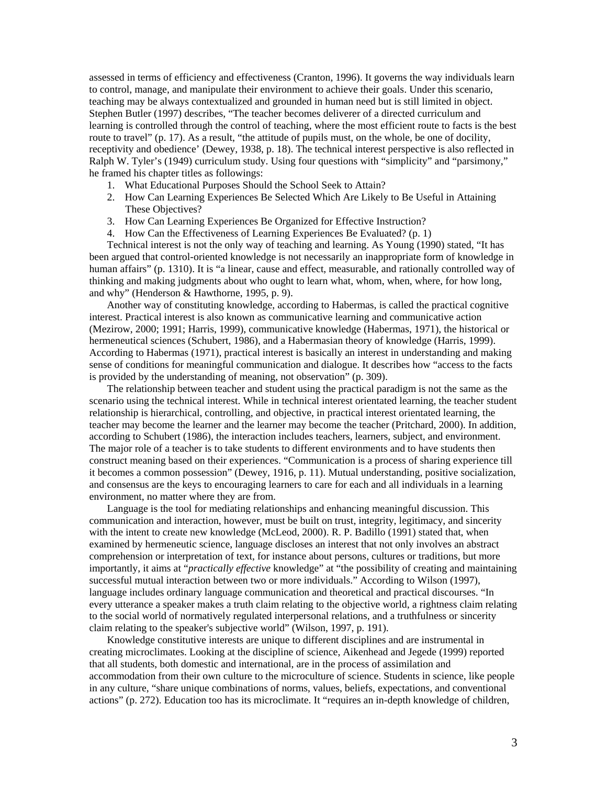assessed in terms of efficiency and effectiveness (Cranton, 1996). It governs the way individuals learn to control, manage, and manipulate their environment to achieve their goals. Under this scenario, teaching may be always contextualized and grounded in human need but is still limited in object. Stephen Butler (1997) describes, "The teacher becomes deliverer of a directed curriculum and learning is controlled through the control of teaching, where the most efficient route to facts is the best route to travel" (p. 17). As a result, "the attitude of pupils must, on the whole, be one of docility, receptivity and obedience' (Dewey, 1938, p. 18). The technical interest perspective is also reflected in Ralph W. Tyler's (1949) curriculum study. Using four questions with "simplicity" and "parsimony," he framed his chapter titles as followings:

- 1. What Educational Purposes Should the School Seek to Attain?
- 2. How Can Learning Experiences Be Selected Which Are Likely to Be Useful in Attaining These Objectives?
- 3. How Can Learning Experiences Be Organized for Effective Instruction?
- 4. How Can the Effectiveness of Learning Experiences Be Evaluated? (p. 1)

Technical interest is not the only way of teaching and learning. As Young (1990) stated, "It has been argued that control-oriented knowledge is not necessarily an inappropriate form of knowledge in human affairs" (p. 1310). It is "a linear, cause and effect, measurable, and rationally controlled way of thinking and making judgments about who ought to learn what, whom, when, where, for how long, and why" (Henderson & Hawthorne, 1995, p. 9).

Another way of constituting knowledge, according to Habermas, is called the practical cognitive interest. Practical interest is also known as communicative learning and communicative action (Mezirow, 2000; 1991; Harris, 1999), communicative knowledge (Habermas, 1971), the historical or hermeneutical sciences (Schubert, 1986), and a Habermasian theory of knowledge (Harris, 1999). According to Habermas (1971), practical interest is basically an interest in understanding and making sense of conditions for meaningful communication and dialogue. It describes how "access to the facts is provided by the understanding of meaning, not observation" (p. 309).

The relationship between teacher and student using the practical paradigm is not the same as the scenario using the technical interest. While in technical interest orientated learning, the teacher student relationship is hierarchical, controlling, and objective, in practical interest orientated learning, the teacher may become the learner and the learner may become the teacher (Pritchard, 2000). In addition, according to Schubert (1986), the interaction includes teachers, learners, subject, and environment. The major role of a teacher is to take students to different environments and to have students then construct meaning based on their experiences. "Communication is a process of sharing experience till it becomes a common possession" (Dewey, 1916, p. 11). Mutual understanding, positive socialization, and consensus are the keys to encouraging learners to care for each and all individuals in a learning environment, no matter where they are from.

Language is the tool for mediating relationships and enhancing meaningful discussion. This communication and interaction, however, must be built on trust, integrity, legitimacy, and sincerity with the intent to create new knowledge (McLeod, 2000). R. P. Badillo (1991) stated that, when examined by hermeneutic science, language discloses an interest that not only involves an abstract comprehension or interpretation of text, for instance about persons, cultures or traditions, but more importantly, it aims at "*practically effective* knowledge" at "the possibility of creating and maintaining successful mutual interaction between two or more individuals." According to Wilson (1997), language includes ordinary language communication and theoretical and practical discourses. "In every utterance a speaker makes a truth claim relating to the objective world, a rightness claim relating to the social world of normatively regulated interpersonal relations, and a truthfulness or sincerity claim relating to the speaker's subjective world" (Wilson, 1997, p. 191).

Knowledge constitutive interests are unique to different disciplines and are instrumental in creating microclimates. Looking at the discipline of science, Aikenhead and Jegede (1999) reported that all students, both domestic and international, are in the process of assimilation and accommodation from their own culture to the microculture of science. Students in science, like people in any culture, "share unique combinations of norms, values, beliefs, expectations, and conventional actions" (p. 272). Education too has its microclimate. It "requires an in-depth knowledge of children,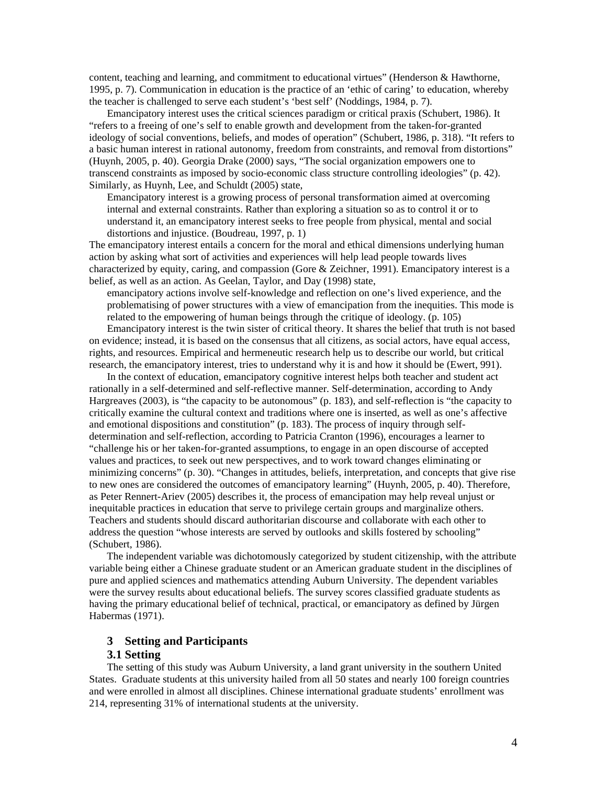content, teaching and learning, and commitment to educational virtues" (Henderson & Hawthorne, 1995, p. 7). Communication in education is the practice of an 'ethic of caring' to education, whereby the teacher is challenged to serve each student's 'best self' (Noddings, 1984, p. 7).

Emancipatory interest uses the critical sciences paradigm or critical praxis (Schubert, 1986). It "refers to a freeing of one's self to enable growth and development from the taken-for-granted ideology of social conventions, beliefs, and modes of operation" (Schubert, 1986, p. 318). "It refers to a basic human interest in rational autonomy, freedom from constraints, and removal from distortions" (Huynh, 2005, p. 40). Georgia Drake (2000) says, "The social organization empowers one to transcend constraints as imposed by socio-economic class structure controlling ideologies" (p. 42). Similarly, as Huynh, Lee, and Schuldt (2005) state,

Emancipatory interest is a growing process of personal transformation aimed at overcoming internal and external constraints. Rather than exploring a situation so as to control it or to understand it, an emancipatory interest seeks to free people from physical, mental and social distortions and injustice. (Boudreau, 1997, p. 1)

The emancipatory interest entails a concern for the moral and ethical dimensions underlying human action by asking what sort of activities and experiences will help lead people towards lives characterized by equity, caring, and compassion (Gore & Zeichner, 1991). Emancipatory interest is a belief, as well as an action. As Geelan, Taylor, and Day (1998) state,

emancipatory actions involve self-knowledge and reflection on one's lived experience, and the problematising of power structures with a view of emancipation from the inequities. This mode is related to the empowering of human beings through the critique of ideology. (p. 105)

Emancipatory interest is the twin sister of critical theory. It shares the belief that truth is not based on evidence; instead, it is based on the consensus that all citizens, as social actors, have equal access, rights, and resources. Empirical and hermeneutic research help us to describe our world, but critical research, the emancipatory interest, tries to understand why it is and how it should be (Ewert, 991).

In the context of education, emancipatory cognitive interest helps both teacher and student act rationally in a self-determined and self-reflective manner. Self-determination, according to Andy Hargreaves (2003), is "the capacity to be autonomous" (p. 183), and self-reflection is "the capacity to critically examine the cultural context and traditions where one is inserted, as well as one's affective and emotional dispositions and constitution" (p. 183). The process of inquiry through selfdetermination and self-reflection, according to Patricia Cranton (1996), encourages a learner to "challenge his or her taken-for-granted assumptions, to engage in an open discourse of accepted values and practices, to seek out new perspectives, and to work toward changes eliminating or minimizing concerns" (p. 30). "Changes in attitudes, beliefs, interpretation, and concepts that give rise to new ones are considered the outcomes of emancipatory learning" (Huynh, 2005, p. 40). Therefore, as Peter Rennert-Ariev (2005) describes it, the process of emancipation may help reveal unjust or inequitable practices in education that serve to privilege certain groups and marginalize others. Teachers and students should discard authoritarian discourse and collaborate with each other to address the question "whose interests are served by outlooks and skills fostered by schooling" (Schubert, 1986).

The independent variable was dichotomously categorized by student citizenship, with the attribute variable being either a Chinese graduate student or an American graduate student in the disciplines of pure and applied sciences and mathematics attending Auburn University. The dependent variables were the survey results about educational beliefs. The survey scores classified graduate students as having the primary educational belief of technical, practical, or emancipatory as defined by Jürgen Habermas (1971).

### **3 Setting and Participants**

# **3.1 Setting**

The setting of this study was Auburn University, a land grant university in the southern United States. Graduate students at this university hailed from all 50 states and nearly 100 foreign countries and were enrolled in almost all disciplines. Chinese international graduate students' enrollment was 214, representing 31% of international students at the university.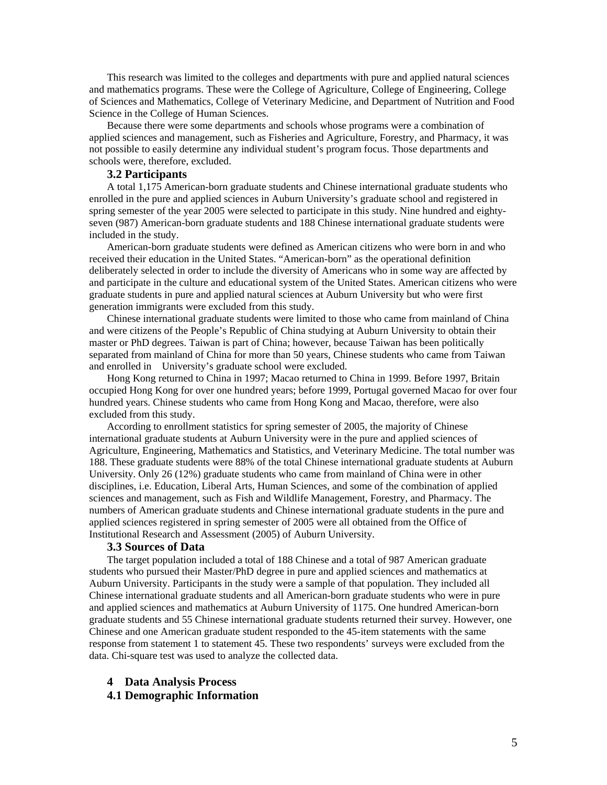This research was limited to the colleges and departments with pure and applied natural sciences and mathematics programs. These were the College of Agriculture, College of Engineering, College of Sciences and Mathematics, College of Veterinary Medicine, and Department of Nutrition and Food Science in the College of Human Sciences.

Because there were some departments and schools whose programs were a combination of applied sciences and management, such as Fisheries and Agriculture, Forestry, and Pharmacy, it was not possible to easily determine any individual student's program focus. Those departments and schools were, therefore, excluded.

# **3.2 Participants**

A total 1,175 American-born graduate students and Chinese international graduate students who enrolled in the pure and applied sciences in Auburn University's graduate school and registered in spring semester of the year 2005 were selected to participate in this study. Nine hundred and eightyseven (987) American-born graduate students and 188 Chinese international graduate students were included in the study.

American-born graduate students were defined as American citizens who were born in and who received their education in the United States. "American-born" as the operational definition deliberately selected in order to include the diversity of Americans who in some way are affected by and participate in the culture and educational system of the United States. American citizens who were graduate students in pure and applied natural sciences at Auburn University but who were first generation immigrants were excluded from this study.

Chinese international graduate students were limited to those who came from mainland of China and were citizens of the People's Republic of China studying at Auburn University to obtain their master or PhD degrees. Taiwan is part of China; however, because Taiwan has been politically separated from mainland of China for more than 50 years, Chinese students who came from Taiwan and enrolled in University's graduate school were excluded.

Hong Kong returned to China in 1997; Macao returned to China in 1999. Before 1997, Britain occupied Hong Kong for over one hundred years; before 1999, Portugal governed Macao for over four hundred years. Chinese students who came from Hong Kong and Macao, therefore, were also excluded from this study.

According to enrollment statistics for spring semester of 2005, the majority of Chinese international graduate students at Auburn University were in the pure and applied sciences of Agriculture, Engineering, Mathematics and Statistics, and Veterinary Medicine. The total number was 188. These graduate students were 88% of the total Chinese international graduate students at Auburn University. Only 26 (12%) graduate students who came from mainland of China were in other disciplines, i.e. Education, Liberal Arts, Human Sciences, and some of the combination of applied sciences and management, such as Fish and Wildlife Management, Forestry, and Pharmacy. The numbers of American graduate students and Chinese international graduate students in the pure and applied sciences registered in spring semester of 2005 were all obtained from the Office of Institutional Research and Assessment (2005) of Auburn University.

#### **3.3 Sources of Data**

The target population included a total of 188 Chinese and a total of 987 American graduate students who pursued their Master/PhD degree in pure and applied sciences and mathematics at Auburn University. Participants in the study were a sample of that population. They included all Chinese international graduate students and all American-born graduate students who were in pure and applied sciences and mathematics at Auburn University of 1175. One hundred American-born graduate students and 55 Chinese international graduate students returned their survey. However, one Chinese and one American graduate student responded to the 45-item statements with the same response from statement 1 to statement 45. These two respondents' surveys were excluded from the data. Chi-square test was used to analyze the collected data.

### **4 Data Analysis Process**

# **4.1 Demographic Information**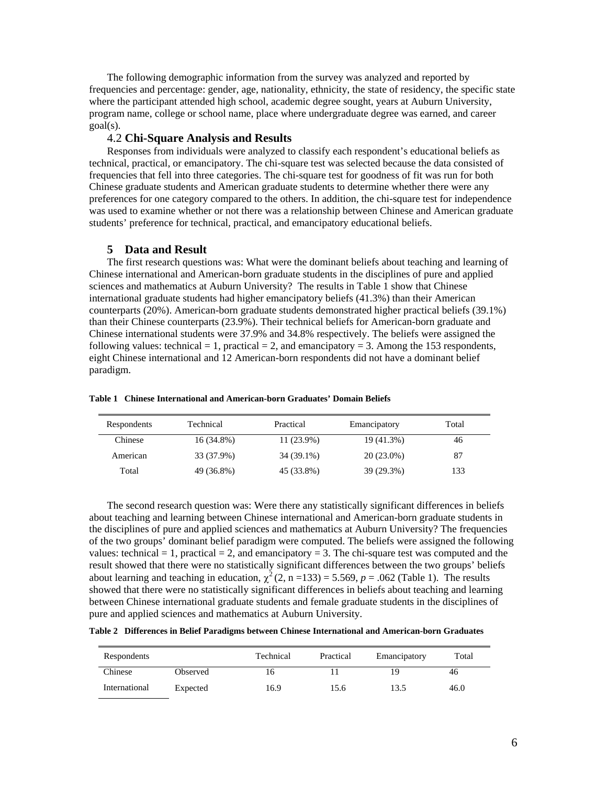The following demographic information from the survey was analyzed and reported by frequencies and percentage: gender, age, nationality, ethnicity, the state of residency, the specific state where the participant attended high school, academic degree sought, years at Auburn University, program name, college or school name, place where undergraduate degree was earned, and career goal(s).

### 4.2 **Chi-Square Analysis and Results**

Responses from individuals were analyzed to classify each respondent's educational beliefs as technical, practical, or emancipatory. The chi-square test was selected because the data consisted of frequencies that fell into three categories. The chi-square test for goodness of fit was run for both Chinese graduate students and American graduate students to determine whether there were any preferences for one category compared to the others. In addition, the chi-square test for independence was used to examine whether or not there was a relationship between Chinese and American graduate students' preference for technical, practical, and emancipatory educational beliefs.

### **5 Data and Result**

The first research questions was: What were the dominant beliefs about teaching and learning of Chinese international and American-born graduate students in the disciplines of pure and applied sciences and mathematics at Auburn University? The results in Table 1 show that Chinese international graduate students had higher emancipatory beliefs (41.3%) than their American counterparts (20%). American-born graduate students demonstrated higher practical beliefs (39.1%) than their Chinese counterparts (23.9%). Their technical beliefs for American-born graduate and Chinese international students were 37.9% and 34.8% respectively. The beliefs were assigned the following values: technical = 1, practical = 2, and emancipatory = 3. Among the 153 respondents, eight Chinese international and 12 American-born respondents did not have a dominant belief paradigm.

| Respondents | Technical  | Practical  | Emancipatory | Total |
|-------------|------------|------------|--------------|-------|
| Chinese     | 16 (34.8%) | 11 (23.9%) | 19 (41.3%)   | 46    |
| American    | 33 (37.9%) | 34 (39.1%) | $20(23.0\%)$ | 87    |
| Total       | 49 (36.8%) | 45 (33.8%) | 39 (29.3%)   | 133   |

**Table 1 Chinese International and American-born Graduates' Domain Beliefs**

The second research question was: Were there any statistically significant differences in beliefs about teaching and learning between Chinese international and American-born graduate students in the disciplines of pure and applied sciences and mathematics at Auburn University? The frequencies of the two groups' dominant belief paradigm were computed. The beliefs were assigned the following values: technical  $= 1$ , practical  $= 2$ , and emancipatory  $= 3$ . The chi-square test was computed and the result showed that there were no statistically significant differences between the two groups' beliefs about learning and teaching in education,  $\chi^2(2, n=133) = 5.569$ ,  $p = .062$  (Table 1). The results showed that there were no statistically significant differences in beliefs about teaching and learning between Chinese international graduate students and female graduate students in the disciplines of pure and applied sciences and mathematics at Auburn University.

|  |  | Table 2 Differences in Belief Paradigms between Chinese International and American-born Graduates |  |  |  |  |  |  |  |
|--|--|---------------------------------------------------------------------------------------------------|--|--|--|--|--|--|--|
|--|--|---------------------------------------------------------------------------------------------------|--|--|--|--|--|--|--|

| Respondents   |          | Technical | Practical | Emancipatory | Total |
|---------------|----------|-----------|-----------|--------------|-------|
| Chinese       | Observed |           |           | 1 C          | 46    |
| International | Expected | 16.9      | 15.6      | 13.5         | 46.0  |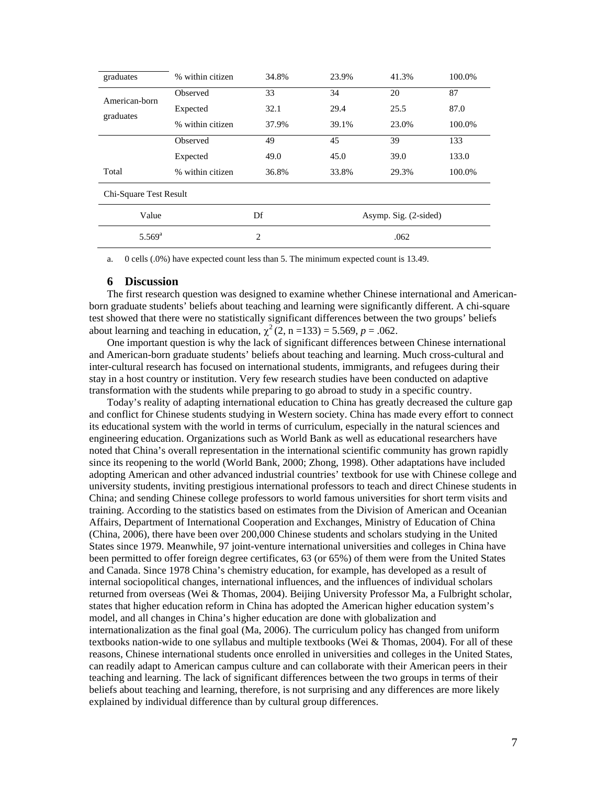| graduates                  | % within citizen | 34.8% | 23.9%                 | 41.3% | 100.0% |  |  |
|----------------------------|------------------|-------|-----------------------|-------|--------|--|--|
| American-born<br>graduates | Observed         | 33    | 34                    | 20    | 87     |  |  |
|                            | Expected         | 32.1  | 29.4                  | 25.5  | 87.0   |  |  |
|                            | % within citizen | 37.9% | 39.1%                 | 23.0% | 100.0% |  |  |
|                            | Observed         | 49    | 45                    | 39    | 133    |  |  |
|                            | Expected         | 49.0  | 45.0                  | 39.0  | 133.0  |  |  |
| Total                      | % within citizen | 36.8% | 33.8%                 | 29.3% | 100.0% |  |  |
| Chi-Square Test Result     |                  |       |                       |       |        |  |  |
| Value                      |                  | Df    | Asymp. Sig. (2-sided) |       |        |  |  |
| $5.569^{a}$                | 2<br>.062        |       |                       |       |        |  |  |

a. 0 cells (.0%) have expected count less than 5. The minimum expected count is 13.49.

### **6 Discussion**

The first research question was designed to examine whether Chinese international and Americanborn graduate students' beliefs about teaching and learning were significantly different. A chi-square test showed that there were no statistically significant differences between the two groups' beliefs about learning and teaching in education,  $\chi^2$  (2, n = 133) = 5.569, p = .062.

One important question is why the lack of significant differences between Chinese international and American-born graduate students' beliefs about teaching and learning. Much cross-cultural and inter-cultural research has focused on international students, immigrants, and refugees during their stay in a host country or institution. Very few research studies have been conducted on adaptive transformation with the students while preparing to go abroad to study in a specific country.

Today's reality of adapting international education to China has greatly decreased the culture gap and conflict for Chinese students studying in Western society. China has made every effort to connect its educational system with the world in terms of curriculum, especially in the natural sciences and engineering education. Organizations such as World Bank as well as educational researchers have noted that China's overall representation in the international scientific community has grown rapidly since its reopening to the world (World Bank, 2000; Zhong, 1998). Other adaptations have included adopting American and other advanced industrial countries' textbook for use with Chinese college and university students, inviting prestigious international professors to teach and direct Chinese students in China; and sending Chinese college professors to world famous universities for short term visits and training. According to the statistics based on estimates from the Division of American and Oceanian Affairs, Department of International Cooperation and Exchanges, Ministry of Education of China (China, 2006), there have been over 200,000 Chinese students and scholars studying in the United States since 1979. Meanwhile, 97 joint-venture international universities and colleges in China have been permitted to offer foreign degree certificates, 63 (or 65%) of them were from the United States and Canada. Since 1978 China's chemistry education, for example, has developed as a result of internal sociopolitical changes, international influences, and the influences of individual scholars returned from overseas (Wei & Thomas, 2004). Beijing University Professor Ma, a Fulbright scholar, states that higher education reform in China has adopted the American higher education system's model, and all changes in China's higher education are done with globalization and internationalization as the final goal (Ma, 2006). The curriculum policy has changed from uniform textbooks nation-wide to one syllabus and multiple textbooks (Wei & Thomas, 2004). For all of these reasons, Chinese international students once enrolled in universities and colleges in the United States, can readily adapt to American campus culture and can collaborate with their American peers in their teaching and learning. The lack of significant differences between the two groups in terms of their beliefs about teaching and learning, therefore, is not surprising and any differences are more likely explained by individual difference than by cultural group differences.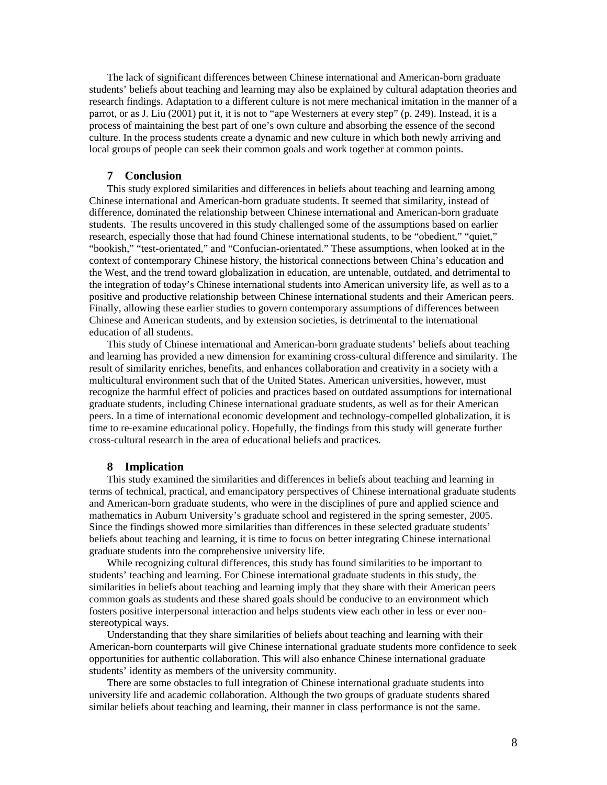The lack of significant differences between Chinese international and American-born graduate students' beliefs about teaching and learning may also be explained by cultural adaptation theories and research findings. Adaptation to a different culture is not mere mechanical imitation in the manner of a parrot, or as J. Liu (2001) put it, it is not to "ape Westerners at every step" (p. 249). Instead, it is a process of maintaining the best part of one's own culture and absorbing the essence of the second culture. In the process students create a dynamic and new culture in which both newly arriving and local groups of people can seek their common goals and work together at common points.

### **7 Conclusion**

This study explored similarities and differences in beliefs about teaching and learning among Chinese international and American-born graduate students. It seemed that similarity, instead of difference, dominated the relationship between Chinese international and American-born graduate students. The results uncovered in this study challenged some of the assumptions based on earlier research, especially those that had found Chinese international students, to be "obedient," "quiet," "bookish," "test-orientated," and "Confucian-orientated." These assumptions, when looked at in the context of contemporary Chinese history, the historical connections between China's education and the West, and the trend toward globalization in education, are untenable, outdated, and detrimental to the integration of today's Chinese international students into American university life, as well as to a positive and productive relationship between Chinese international students and their American peers. Finally, allowing these earlier studies to govern contemporary assumptions of differences between Chinese and American students, and by extension societies, is detrimental to the international education of all students.

This study of Chinese international and American-born graduate students' beliefs about teaching and learning has provided a new dimension for examining cross-cultural difference and similarity. The result of similarity enriches, benefits, and enhances collaboration and creativity in a society with a multicultural environment such that of the United States. American universities, however, must recognize the harmful effect of policies and practices based on outdated assumptions for international graduate students, including Chinese international graduate students, as well as for their American peers. In a time of international economic development and technology-compelled globalization, it is time to re-examine educational policy. Hopefully, the findings from this study will generate further cross-cultural research in the area of educational beliefs and practices.

### **8 Implication**

This study examined the similarities and differences in beliefs about teaching and learning in terms of technical, practical, and emancipatory perspectives of Chinese international graduate students and American-born graduate students, who were in the disciplines of pure and applied science and mathematics in Auburn University's graduate school and registered in the spring semester, 2005. Since the findings showed more similarities than differences in these selected graduate students' beliefs about teaching and learning, it is time to focus on better integrating Chinese international graduate students into the comprehensive university life.

While recognizing cultural differences, this study has found similarities to be important to students' teaching and learning. For Chinese international graduate students in this study, the similarities in beliefs about teaching and learning imply that they share with their American peers common goals as students and these shared goals should be conducive to an environment which fosters positive interpersonal interaction and helps students view each other in less or ever nonstereotypical ways.

Understanding that they share similarities of beliefs about teaching and learning with their American-born counterparts will give Chinese international graduate students more confidence to seek opportunities for authentic collaboration. This will also enhance Chinese international graduate students' identity as members of the university community.

There are some obstacles to full integration of Chinese international graduate students into university life and academic collaboration. Although the two groups of graduate students shared similar beliefs about teaching and learning, their manner in class performance is not the same.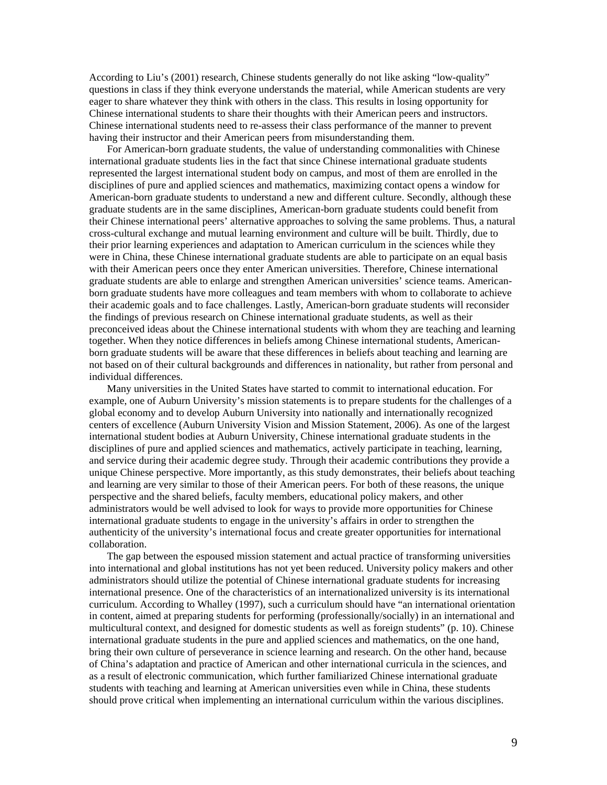According to Liu's (2001) research, Chinese students generally do not like asking "low-quality" questions in class if they think everyone understands the material, while American students are very eager to share whatever they think with others in the class. This results in losing opportunity for Chinese international students to share their thoughts with their American peers and instructors. Chinese international students need to re-assess their class performance of the manner to prevent having their instructor and their American peers from misunderstanding them.

For American-born graduate students, the value of understanding commonalities with Chinese international graduate students lies in the fact that since Chinese international graduate students represented the largest international student body on campus, and most of them are enrolled in the disciplines of pure and applied sciences and mathematics, maximizing contact opens a window for American-born graduate students to understand a new and different culture. Secondly, although these graduate students are in the same disciplines, American-born graduate students could benefit from their Chinese international peers' alternative approaches to solving the same problems. Thus, a natural cross-cultural exchange and mutual learning environment and culture will be built. Thirdly, due to their prior learning experiences and adaptation to American curriculum in the sciences while they were in China, these Chinese international graduate students are able to participate on an equal basis with their American peers once they enter American universities. Therefore, Chinese international graduate students are able to enlarge and strengthen American universities' science teams. Americanborn graduate students have more colleagues and team members with whom to collaborate to achieve their academic goals and to face challenges. Lastly, American-born graduate students will reconsider the findings of previous research on Chinese international graduate students, as well as their preconceived ideas about the Chinese international students with whom they are teaching and learning together. When they notice differences in beliefs among Chinese international students, Americanborn graduate students will be aware that these differences in beliefs about teaching and learning are not based on of their cultural backgrounds and differences in nationality, but rather from personal and individual differences.

Many universities in the United States have started to commit to international education. For example, one of Auburn University's mission statements is to prepare students for the challenges of a global economy and to develop Auburn University into nationally and internationally recognized centers of excellence (Auburn University Vision and Mission Statement, 2006). As one of the largest international student bodies at Auburn University, Chinese international graduate students in the disciplines of pure and applied sciences and mathematics, actively participate in teaching, learning, and service during their academic degree study. Through their academic contributions they provide a unique Chinese perspective. More importantly, as this study demonstrates, their beliefs about teaching and learning are very similar to those of their American peers. For both of these reasons, the unique perspective and the shared beliefs, faculty members, educational policy makers, and other administrators would be well advised to look for ways to provide more opportunities for Chinese international graduate students to engage in the university's affairs in order to strengthen the authenticity of the university's international focus and create greater opportunities for international collaboration.

The gap between the espoused mission statement and actual practice of transforming universities into international and global institutions has not yet been reduced. University policy makers and other administrators should utilize the potential of Chinese international graduate students for increasing international presence. One of the characteristics of an internationalized university is its international curriculum. According to Whalley (1997), such a curriculum should have "an international orientation in content, aimed at preparing students for performing (professionally/socially) in an international and multicultural context, and designed for domestic students as well as foreign students" (p. 10). Chinese international graduate students in the pure and applied sciences and mathematics, on the one hand, bring their own culture of perseverance in science learning and research. On the other hand, because of China's adaptation and practice of American and other international curricula in the sciences, and as a result of electronic communication, which further familiarized Chinese international graduate students with teaching and learning at American universities even while in China, these students should prove critical when implementing an international curriculum within the various disciplines.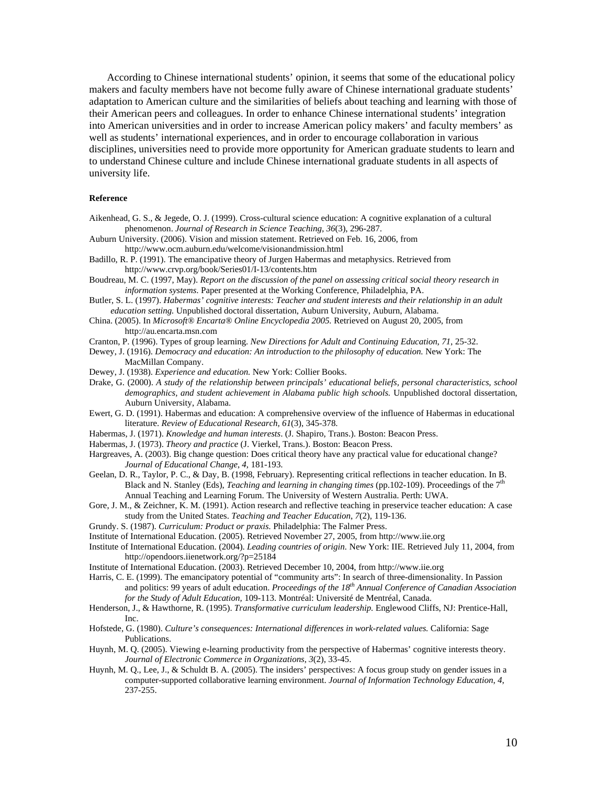According to Chinese international students' opinion, it seems that some of the educational policy makers and faculty members have not become fully aware of Chinese international graduate students' adaptation to American culture and the similarities of beliefs about teaching and learning with those of their American peers and colleagues. In order to enhance Chinese international students' integration into American universities and in order to increase American policy makers' and faculty members' as well as students' international experiences, and in order to encourage collaboration in various disciplines, universities need to provide more opportunity for American graduate students to learn and to understand Chinese culture and include Chinese international graduate students in all aspects of university life.

#### **Reference**

- Aikenhead, G. S., & Jegede, O. J. (1999). Cross-cultural science education: A cognitive explanation of a cultural phenomenon. *Journal of Research in Science Teaching, 36*(3), 296-287.
- Auburn University. (2006). Vision and mission statement. Retrieved on Feb. 16, 2006, from http://www.ocm.auburn.edu/welcome/visionandmission.html
- Badillo, R. P. (1991). The emancipative theory of Jurgen Habermas and metaphysics. Retrieved from http://www.crvp.org/book/Series01/I-13/contents.htm
- Boudreau, M. C. (1997, May). *Report on the discussion of the panel on assessing critical social theory research in information systems*. Paper presented at the Working Conference, Philadelphia, PA.
- Butler, S. L. (1997). *Habermas' cognitive interests: Teacher and student interests and their relationship in an adult education setting.* Unpublished doctoral dissertation, Auburn University, Auburn, Alabama.
- China. (2005). In *Microsoft® Encarta® Online Encyclopedia 2005.* Retrieved on August 20, 2005, from http://au.encarta.msn.com
- Cranton, P. (1996). Types of group learning. *New Directions for Adult and Continuing Education*, *71*, 25-32.
- Dewey, J. (1916). *Democracy and education: An introduction to the philosophy of education.* New York: The MacMillan Company.
- Dewey, J. (1938). *Experience and education.* New York: Collier Books.
- Drake, G. (2000). *A study of the relationship between principals' educational beliefs, personal characteristics, school demographics, and student achievement in Alabama public high schools.* Unpublished doctoral dissertation, Auburn University, Alabama.
- Ewert, G. D. (1991). Habermas and education: A comprehensive overview of the influence of Habermas in educational literature. *Review of Educational Research, 61*(3), 345-378.
- Habermas, J. (1971). *Knowledge and human interests*. (J. Shapiro, Trans.). Boston: Beacon Press.
- Habermas, J. (1973). *Theory and practice* (J. Vierkel, Trans.). Boston: Beacon Press.
- Hargreaves, A. (2003). Big change question: Does critical theory have any practical value for educational change? *Journal of Educational Change*, *4,* 181-193.
- Geelan, D. R., Taylor, P. C., & Day, B. (1998, February). Representing critical reflections in teacher education. In B. Black and N. Stanley (Eds), *Teaching and learning in changing times* (pp.102-109). Proceedings of the 7<sup>th</sup> Annual Teaching and Learning Forum. The University of Western Australia. Perth: UWA.
- Gore, J. M., & Zeichner, K. M. (1991). Action research and reflective teaching in preservice teacher education: A case study from the United States. *Teaching and Teacher Education*, *7*(2), 119-136.
- Grundy. S. (1987). *Curriculum: Product or praxis.* Philadelphia: The Falmer Press.
- Institute of International Education. (2005). Retrieved November 27, 2005, from http://www.iie.org
- Institute of International Education. (2004). *Leading countries of origin.* New York: IIE. Retrieved July 11, 2004, from http://opendoors.iienetwork.org/?p=25184
- Institute of International Education. (2003). Retrieved December 10, 2004, from http://www.iie.org
- Harris, C. E. (1999). The emancipatory potential of "community arts": In search of three-dimensionality. In Passion and politics: 99 years of adult education. *Proceedings of the 18th Annual Conference of Canadian Association for the Study of Adult Education,* 109-113. Montréal: Université de Mentréal, Canada.
- Henderson, J., & Hawthorne, R. (1995). *Transformative curriculum leadership.* Englewood Cliffs, NJ: Prentice-Hall, Inc.
- Hofstede, G. (1980). *Culture's consequences: International differences in work-related values.* California: Sage Publications.
- Huynh, M. Q. (2005). Viewing e-learning productivity from the perspective of Habermas' cognitive interests theory. *Journal of Electronic Commerce in Organizations*, *3*(2), 33-45.
- Huynh, M. Q., Lee, J., & Schuldt B. A. (2005). The insiders' perspectives: A focus group study on gender issues in a computer-supported collaborative learning environment. *Journal of Information Technology Education*, *4*, 237-255.